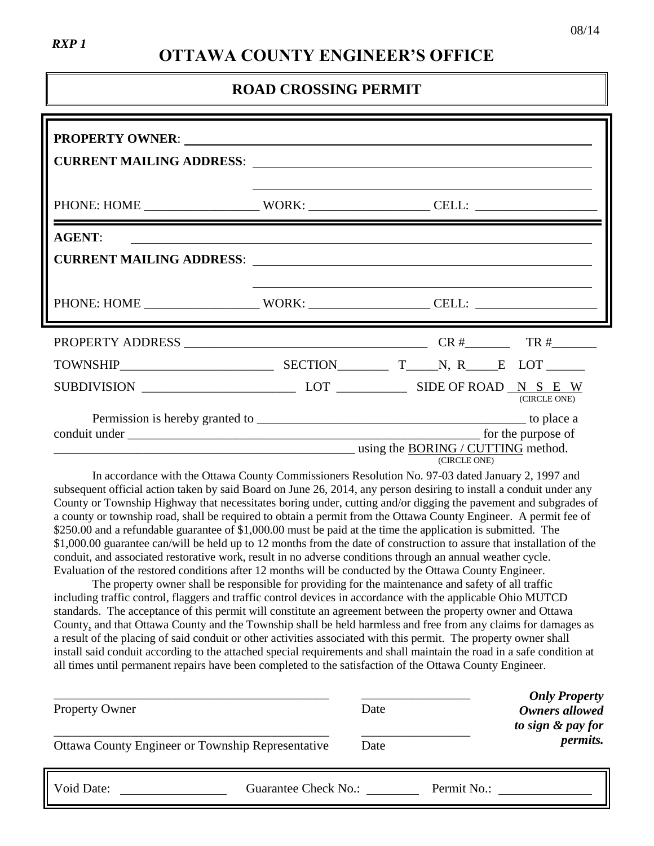# **OTTAWA COUNTY ENGINEER'S OFFICE**

### **ROAD CROSSING PERMIT**

| PROPERTY OWNER: New York Change of the Communication of the Communication of the Communication of the Communication of the Communication of the Communication of the Communication of the Communication of the Communication o |                                                                                                    |
|--------------------------------------------------------------------------------------------------------------------------------------------------------------------------------------------------------------------------------|----------------------------------------------------------------------------------------------------|
|                                                                                                                                                                                                                                |                                                                                                    |
| <b>AGENT:</b>                                                                                                                                                                                                                  | <u> 1999 - Johann Harry Communication (f. 1989)</u>                                                |
|                                                                                                                                                                                                                                |                                                                                                    |
|                                                                                                                                                                                                                                |                                                                                                    |
|                                                                                                                                                                                                                                |                                                                                                    |
|                                                                                                                                                                                                                                | SUBDIVISION $\_\_\_\_\_\_\_\_\_\$ LOT $\_\_\_\_\$ SIDE OF ROAD $\_\_\_\_\_\$ S E W<br>(CIRCLE ONE) |
|                                                                                                                                                                                                                                | for the purpose of<br>using the BORING / CUTTING method.<br>(CIRCLE ONE)                           |

In accordance with the Ottawa County Commissioners Resolution No. 97-03 dated January 2, 1997 and subsequent official action taken by said Board on June 26, 2014, any person desiring to install a conduit under any County or Township Highway that necessitates boring under, cutting and/or digging the pavement and subgrades of a county or township road, shall be required to obtain a permit from the Ottawa County Engineer. A permit fee of \$250.00 and a refundable guarantee of \$1,000.00 must be paid at the time the application is submitted. The \$1,000.00 guarantee can/will be held up to 12 months from the date of construction to assure that installation of the conduit, and associated restorative work, result in no adverse conditions through an annual weather cycle. Evaluation of the restored conditions after 12 months will be conducted by the Ottawa County Engineer.

The property owner shall be responsible for providing for the maintenance and safety of all traffic including traffic control, flaggers and traffic control devices in accordance with the applicable Ohio MUTCD standards. The acceptance of this permit will constitute an agreement between the property owner and Ottawa County, and that Ottawa County and the Township shall be held harmless and free from any claims for damages as a result of the placing of said conduit or other activities associated with this permit. The property owner shall install said conduit according to the attached special requirements and shall maintain the road in a safe condition at all times until permanent repairs have been completed to the satisfaction of the Ottawa County Engineer.

| <b>Property Owner</b><br>Ottawa County Engineer or Township Representative | Date<br>Date         | <b>Only Property</b><br>Owners allowed<br>to sign & pay for<br><i>permits.</i> |
|----------------------------------------------------------------------------|----------------------|--------------------------------------------------------------------------------|
| Void Date:                                                                 | Guarantee Check No.: | Permit No.:                                                                    |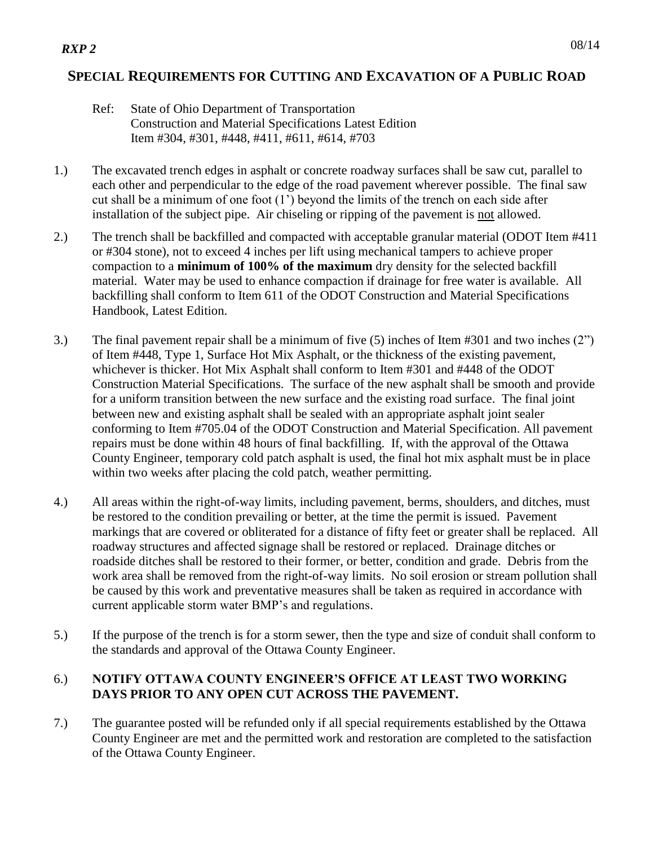### **SPECIAL REQUIREMENTS FOR CUTTING AND EXCAVATION OF A PUBLIC ROAD**

#### Ref: State of Ohio Department of Transportation Construction and Material Specifications Latest Edition Item #304, #301, #448, #411, #611, #614, #703

- 1.) The excavated trench edges in asphalt or concrete roadway surfaces shall be saw cut, parallel to each other and perpendicular to the edge of the road pavement wherever possible. The final saw cut shall be a minimum of one foot (1') beyond the limits of the trench on each side after installation of the subject pipe. Air chiseling or ripping of the pavement is not allowed.
- 2.) The trench shall be backfilled and compacted with acceptable granular material (ODOT Item #411 or #304 stone), not to exceed 4 inches per lift using mechanical tampers to achieve proper compaction to a **minimum of 100% of the maximum** dry density for the selected backfill material. Water may be used to enhance compaction if drainage for free water is available. All backfilling shall conform to Item 611 of the ODOT Construction and Material Specifications Handbook, Latest Edition.
- 3.) The final pavement repair shall be a minimum of five (5) inches of Item #301 and two inches (2") of Item #448, Type 1, Surface Hot Mix Asphalt, or the thickness of the existing pavement, whichever is thicker. Hot Mix Asphalt shall conform to Item #301 and #448 of the ODOT Construction Material Specifications. The surface of the new asphalt shall be smooth and provide for a uniform transition between the new surface and the existing road surface. The final joint between new and existing asphalt shall be sealed with an appropriate asphalt joint sealer conforming to Item #705.04 of the ODOT Construction and Material Specification. All pavement repairs must be done within 48 hours of final backfilling. If, with the approval of the Ottawa County Engineer, temporary cold patch asphalt is used, the final hot mix asphalt must be in place within two weeks after placing the cold patch, weather permitting.
- 4.) All areas within the right-of-way limits, including pavement, berms, shoulders, and ditches, must be restored to the condition prevailing or better, at the time the permit is issued. Pavement markings that are covered or obliterated for a distance of fifty feet or greater shall be replaced. All roadway structures and affected signage shall be restored or replaced. Drainage ditches or roadside ditches shall be restored to their former, or better, condition and grade. Debris from the work area shall be removed from the right-of-way limits. No soil erosion or stream pollution shall be caused by this work and preventative measures shall be taken as required in accordance with current applicable storm water BMP's and regulations.
- 5.) If the purpose of the trench is for a storm sewer, then the type and size of conduit shall conform to the standards and approval of the Ottawa County Engineer.

### 6.) **NOTIFY OTTAWA COUNTY ENGINEER'S OFFICE AT LEAST TWO WORKING DAYS PRIOR TO ANY OPEN CUT ACROSS THE PAVEMENT.**

7.) The guarantee posted will be refunded only if all special requirements established by the Ottawa County Engineer are met and the permitted work and restoration are completed to the satisfaction of the Ottawa County Engineer.

## *RXP 2*